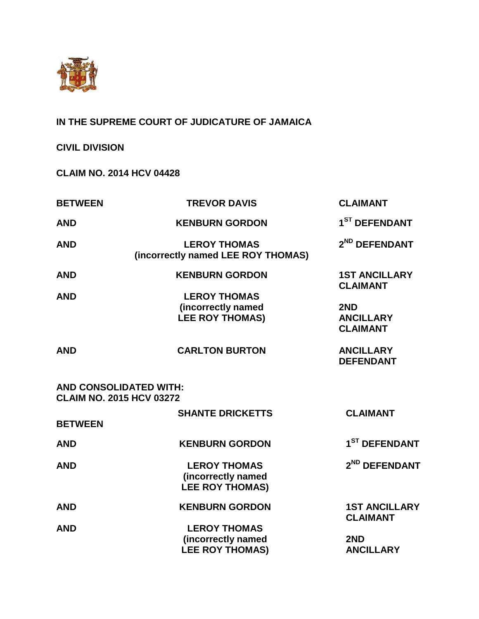

**IN THE SUPREME COURT OF JUDICATURE OF JAMAICA**

**CIVIL DIVISION**

**CLAIM NO. 2014 HCV 04428**

| <b>BETWEEN</b>                                                   | <b>TREVOR DAVIS</b>                                                 | <b>CLAIMANT</b>                                |
|------------------------------------------------------------------|---------------------------------------------------------------------|------------------------------------------------|
| <b>AND</b>                                                       | <b>KENBURN GORDON</b>                                               | 1 <sup>ST</sup> DEFENDANT                      |
| <b>AND</b>                                                       | <b>LEROY THOMAS</b><br>(incorrectly named LEE ROY THOMAS)           | 2 <sup>ND</sup> DEFENDANT                      |
| <b>AND</b><br><b>AND</b>                                         | <b>KENBURN GORDON</b><br><b>LEROY THOMAS</b><br>(incorrectly named  | <b>1ST ANCILLARY</b><br><b>CLAIMANT</b><br>2ND |
|                                                                  | <b>LEE ROY THOMAS)</b>                                              | <b>ANCILLARY</b><br><b>CLAIMANT</b>            |
| <b>AND</b>                                                       | <b>CARLTON BURTON</b>                                               | <b>ANCILLARY</b><br><b>DEFENDANT</b>           |
| <b>AND CONSOLIDATED WITH:</b><br><b>CLAIM NO. 2015 HCV 03272</b> |                                                                     |                                                |
| <b>BETWEEN</b>                                                   | <b>SHANTE DRICKETTS</b>                                             | <b>CLAIMANT</b>                                |
| <b>AND</b>                                                       | <b>KENBURN GORDON</b>                                               | 1 <sup>ST</sup> DEFENDANT                      |
| <b>AND</b>                                                       | <b>LEROY THOMAS</b><br>(incorrectly named<br><b>LEE ROY THOMAS)</b> | 2 <sup>ND</sup> DEFENDANT                      |
| <b>AND</b>                                                       | <b>KENBURN GORDON</b>                                               | <b>1ST ANCILLARY</b><br><b>CLAIMANT</b>        |
| <b>AND</b>                                                       | <b>LEROY THOMAS</b><br>(incorrectly named<br><b>LEE ROY THOMAS)</b> | 2ND<br><b>ANCILLARY</b>                        |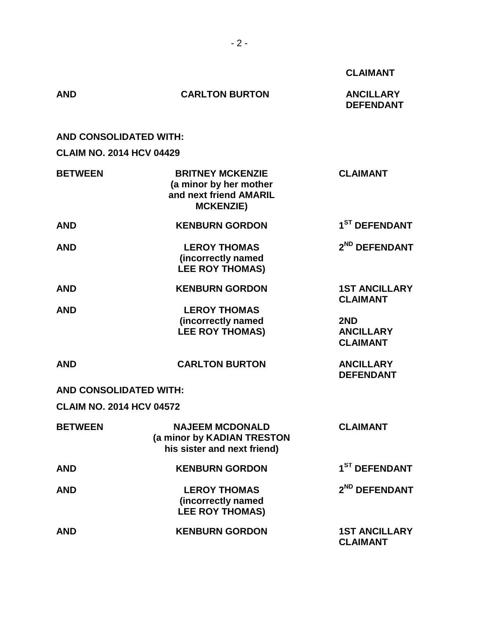|                                 |                                                                                                 | <b>CLAIMANT</b>                            |
|---------------------------------|-------------------------------------------------------------------------------------------------|--------------------------------------------|
| <b>AND</b>                      | <b>CARLTON BURTON</b>                                                                           | <b>ANCILLARY</b><br><b>DEFENDANT</b>       |
| <b>AND CONSOLIDATED WITH:</b>   |                                                                                                 |                                            |
| <b>CLAIM NO. 2014 HCV 04429</b> |                                                                                                 |                                            |
| <b>BETWEEN</b>                  | <b>BRITNEY MCKENZIE</b><br>(a minor by her mother<br>and next friend AMARIL<br><b>MCKENZIE)</b> | <b>CLAIMANT</b>                            |
| <b>AND</b>                      | <b>KENBURN GORDON</b>                                                                           | 1 <sup>ST</sup> DEFENDANT                  |
| <b>AND</b>                      | <b>LEROY THOMAS</b><br>(incorrectly named<br><b>LEE ROY THOMAS)</b>                             | 2 <sup>ND</sup> DEFENDANT                  |
| <b>AND</b>                      | <b>KENBURN GORDON</b>                                                                           | <b>1ST ANCILLARY</b><br><b>CLAIMANT</b>    |
| <b>AND</b>                      | <b>LEROY THOMAS</b><br>(incorrectly named<br><b>LEE ROY THOMAS)</b>                             | 2ND<br><b>ANCILLARY</b><br><b>CLAIMANT</b> |
| <b>AND</b>                      | <b>CARLTON BURTON</b>                                                                           | <b>ANCILLARY</b><br><b>DEFENDANT</b>       |
| <b>AND CONSOLIDATED WITH:</b>   |                                                                                                 |                                            |
| <b>CLAIM NO. 2014 HCV 04572</b> |                                                                                                 |                                            |
| <b>BETWEEN</b>                  | <b>NAJEEM MCDONALD</b><br>(a minor by KADIAN TRESTON<br>his sister and next friend)             | <b>CLAIMANT</b>                            |
| <b>AND</b>                      | <b>KENBURN GORDON</b>                                                                           | 1 <sup>ST</sup> DEFENDANT                  |
| <b>AND</b>                      | <b>LEROY THOMAS</b><br>(incorrectly named<br><b>LEE ROY THOMAS)</b>                             | 2 <sup>ND</sup> DEFENDANT                  |
| <b>AND</b>                      | <b>KENBURN GORDON</b>                                                                           | <b>1ST ANCILLARY</b><br><b>CLAIMANT</b>    |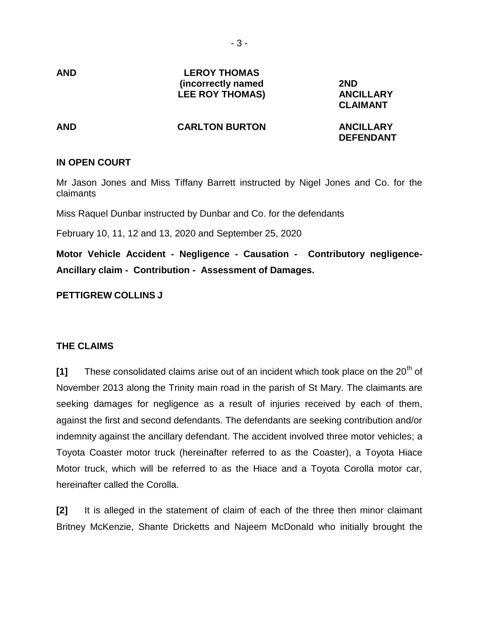- 3 -

**AND**

### **LEROY THOMAS (incorrectly named LEE ROY THOMAS)**

**2ND ANCILLARY CLAIMANT**

#### **AND CARLTON BURTON**

**ANCILLARY DEFENDANT**

## **IN OPEN COURT**

Mr Jason Jones and Miss Tiffany Barrett instructed by Nigel Jones and Co. for the claimants

Miss Raquel Dunbar instructed by Dunbar and Co. for the defendants

February 10, 11, 12 and 13, 2020 and September 25, 2020

**Motor Vehicle Accident - Negligence - Causation - Contributory negligence-Ancillary claim - Contribution - Assessment of Damages.**

## **PETTIGREW COLLINS J**

## **THE CLAIMS**

[1] These consolidated claims arise out of an incident which took place on the 20<sup>th</sup> of November 2013 along the Trinity main road in the parish of St Mary. The claimants are seeking damages for negligence as a result of injuries received by each of them, against the first and second defendants. The defendants are seeking contribution and/or indemnity against the ancillary defendant. The accident involved three motor vehicles; a Toyota Coaster motor truck (hereinafter referred to as the Coaster), a Toyota Hiace Motor truck, which will be referred to as the Hiace and a Toyota Corolla motor car, hereinafter called the Corolla.

**[2]** It is alleged in the statement of claim of each of the three then minor claimant Britney McKenzie, Shante Dricketts and Najeem McDonald who initially brought the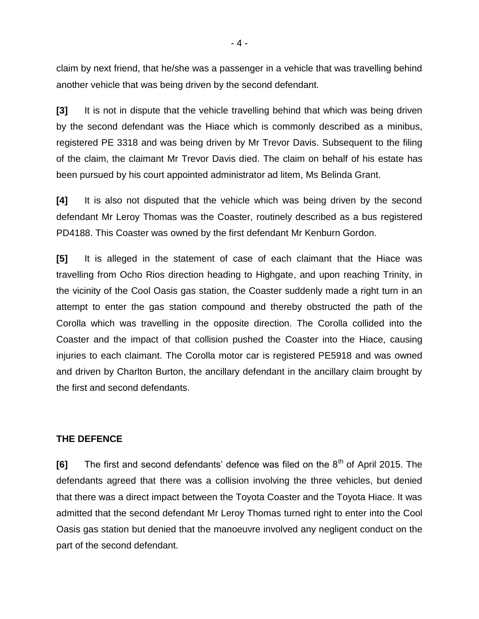claim by next friend, that he/she was a passenger in a vehicle that was travelling behind another vehicle that was being driven by the second defendant.

**[3]** It is not in dispute that the vehicle travelling behind that which was being driven by the second defendant was the Hiace which is commonly described as a minibus, registered PE 3318 and was being driven by Mr Trevor Davis. Subsequent to the filing of the claim, the claimant Mr Trevor Davis died. The claim on behalf of his estate has been pursued by his court appointed administrator ad litem, Ms Belinda Grant.

**[4]** It is also not disputed that the vehicle which was being driven by the second defendant Mr Leroy Thomas was the Coaster, routinely described as a bus registered PD4188. This Coaster was owned by the first defendant Mr Kenburn Gordon.

**[5]** It is alleged in the statement of case of each claimant that the Hiace was travelling from Ocho Rios direction heading to Highgate, and upon reaching Trinity, in the vicinity of the Cool Oasis gas station, the Coaster suddenly made a right turn in an attempt to enter the gas station compound and thereby obstructed the path of the Corolla which was travelling in the opposite direction. The Corolla collided into the Coaster and the impact of that collision pushed the Coaster into the Hiace, causing injuries to each claimant. The Corolla motor car is registered PE5918 and was owned and driven by Charlton Burton, the ancillary defendant in the ancillary claim brought by the first and second defendants.

## **THE DEFENCE**

**[6]** The first and second defendants' defence was filed on the 8<sup>th</sup> of April 2015. The defendants agreed that there was a collision involving the three vehicles, but denied that there was a direct impact between the Toyota Coaster and the Toyota Hiace. It was admitted that the second defendant Mr Leroy Thomas turned right to enter into the Cool Oasis gas station but denied that the manoeuvre involved any negligent conduct on the part of the second defendant.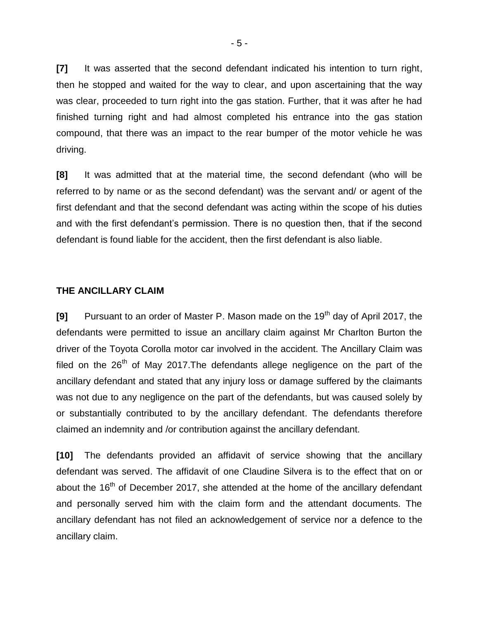**[7]** It was asserted that the second defendant indicated his intention to turn right, then he stopped and waited for the way to clear, and upon ascertaining that the way was clear, proceeded to turn right into the gas station. Further, that it was after he had finished turning right and had almost completed his entrance into the gas station compound, that there was an impact to the rear bumper of the motor vehicle he was driving.

**[8]** It was admitted that at the material time, the second defendant (who will be referred to by name or as the second defendant) was the servant and/ or agent of the first defendant and that the second defendant was acting within the scope of his duties and with the first defendant's permission. There is no question then, that if the second defendant is found liable for the accident, then the first defendant is also liable.

### **THE ANCILLARY CLAIM**

**[9]** Pursuant to an order of Master P. Mason made on the 19<sup>th</sup> day of April 2017, the defendants were permitted to issue an ancillary claim against Mr Charlton Burton the driver of the Toyota Corolla motor car involved in the accident. The Ancillary Claim was filed on the  $26<sup>th</sup>$  of May 2017. The defendants allege negligence on the part of the ancillary defendant and stated that any injury loss or damage suffered by the claimants was not due to any negligence on the part of the defendants, but was caused solely by or substantially contributed to by the ancillary defendant. The defendants therefore claimed an indemnity and /or contribution against the ancillary defendant.

**[10]** The defendants provided an affidavit of service showing that the ancillary defendant was served. The affidavit of one Claudine Silvera is to the effect that on or about the 16<sup>th</sup> of December 2017, she attended at the home of the ancillary defendant and personally served him with the claim form and the attendant documents. The ancillary defendant has not filed an acknowledgement of service nor a defence to the ancillary claim.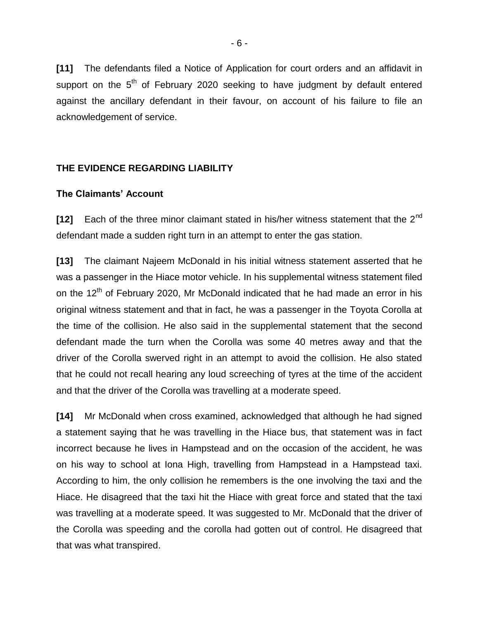**[11]** The defendants filed a Notice of Application for court orders and an affidavit in support on the  $5<sup>th</sup>$  of February 2020 seeking to have judgment by default entered against the ancillary defendant in their favour, on account of his failure to file an acknowledgement of service.

# **THE EVIDENCE REGARDING LIABILITY**

### **The Claimants' Account**

**[12]** Each of the three minor claimant stated in his/her witness statement that the 2nd defendant made a sudden right turn in an attempt to enter the gas station.

**[13]** The claimant Najeem McDonald in his initial witness statement asserted that he was a passenger in the Hiace motor vehicle. In his supplemental witness statement filed on the 12<sup>th</sup> of February 2020, Mr McDonald indicated that he had made an error in his original witness statement and that in fact, he was a passenger in the Toyota Corolla at the time of the collision. He also said in the supplemental statement that the second defendant made the turn when the Corolla was some 40 metres away and that the driver of the Corolla swerved right in an attempt to avoid the collision. He also stated that he could not recall hearing any loud screeching of tyres at the time of the accident and that the driver of the Corolla was travelling at a moderate speed.

**[14]** Mr McDonald when cross examined, acknowledged that although he had signed a statement saying that he was travelling in the Hiace bus, that statement was in fact incorrect because he lives in Hampstead and on the occasion of the accident, he was on his way to school at Iona High, travelling from Hampstead in a Hampstead taxi. According to him, the only collision he remembers is the one involving the taxi and the Hiace. He disagreed that the taxi hit the Hiace with great force and stated that the taxi was travelling at a moderate speed. It was suggested to Mr. McDonald that the driver of the Corolla was speeding and the corolla had gotten out of control. He disagreed that that was what transpired.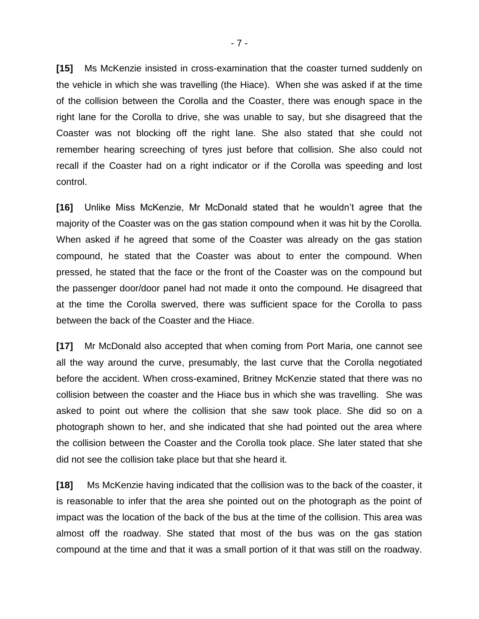**[15]** Ms McKenzie insisted in cross-examination that the coaster turned suddenly on the vehicle in which she was travelling (the Hiace). When she was asked if at the time of the collision between the Corolla and the Coaster, there was enough space in the right lane for the Corolla to drive, she was unable to say, but she disagreed that the Coaster was not blocking off the right lane. She also stated that she could not remember hearing screeching of tyres just before that collision. She also could not recall if the Coaster had on a right indicator or if the Corolla was speeding and lost control.

**[16]** Unlike Miss McKenzie, Mr McDonald stated that he wouldn't agree that the majority of the Coaster was on the gas station compound when it was hit by the Corolla. When asked if he agreed that some of the Coaster was already on the gas station compound, he stated that the Coaster was about to enter the compound. When pressed, he stated that the face or the front of the Coaster was on the compound but the passenger door/door panel had not made it onto the compound. He disagreed that at the time the Corolla swerved, there was sufficient space for the Corolla to pass between the back of the Coaster and the Hiace.

**[17]** Mr McDonald also accepted that when coming from Port Maria, one cannot see all the way around the curve, presumably, the last curve that the Corolla negotiated before the accident. When cross-examined, Britney McKenzie stated that there was no collision between the coaster and the Hiace bus in which she was travelling. She was asked to point out where the collision that she saw took place. She did so on a photograph shown to her, and she indicated that she had pointed out the area where the collision between the Coaster and the Corolla took place. She later stated that she did not see the collision take place but that she heard it.

**[18]** Ms McKenzie having indicated that the collision was to the back of the coaster, it is reasonable to infer that the area she pointed out on the photograph as the point of impact was the location of the back of the bus at the time of the collision. This area was almost off the roadway. She stated that most of the bus was on the gas station compound at the time and that it was a small portion of it that was still on the roadway.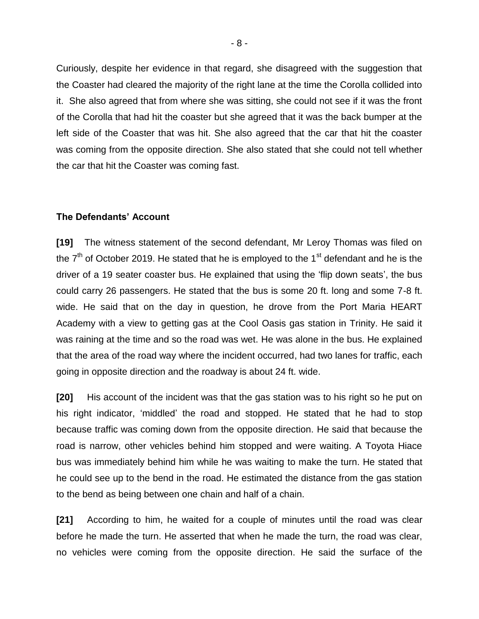Curiously, despite her evidence in that regard, she disagreed with the suggestion that the Coaster had cleared the majority of the right lane at the time the Corolla collided into it. She also agreed that from where she was sitting, she could not see if it was the front of the Corolla that had hit the coaster but she agreed that it was the back bumper at the left side of the Coaster that was hit. She also agreed that the car that hit the coaster was coming from the opposite direction. She also stated that she could not tell whether the car that hit the Coaster was coming fast.

### **The Defendants' Account**

**[19]** The witness statement of the second defendant, Mr Leroy Thomas was filed on the  $7<sup>th</sup>$  of October 2019. He stated that he is employed to the 1<sup>st</sup> defendant and he is the driver of a 19 seater coaster bus. He explained that using the 'flip down seats', the bus could carry 26 passengers. He stated that the bus is some 20 ft. long and some 7-8 ft. wide. He said that on the day in question, he drove from the Port Maria HEART Academy with a view to getting gas at the Cool Oasis gas station in Trinity. He said it was raining at the time and so the road was wet. He was alone in the bus. He explained that the area of the road way where the incident occurred, had two lanes for traffic, each going in opposite direction and the roadway is about 24 ft. wide.

**[20]** His account of the incident was that the gas station was to his right so he put on his right indicator, 'middled' the road and stopped. He stated that he had to stop because traffic was coming down from the opposite direction. He said that because the road is narrow, other vehicles behind him stopped and were waiting. A Toyota Hiace bus was immediately behind him while he was waiting to make the turn. He stated that he could see up to the bend in the road. He estimated the distance from the gas station to the bend as being between one chain and half of a chain.

**[21]** According to him, he waited for a couple of minutes until the road was clear before he made the turn. He asserted that when he made the turn, the road was clear, no vehicles were coming from the opposite direction. He said the surface of the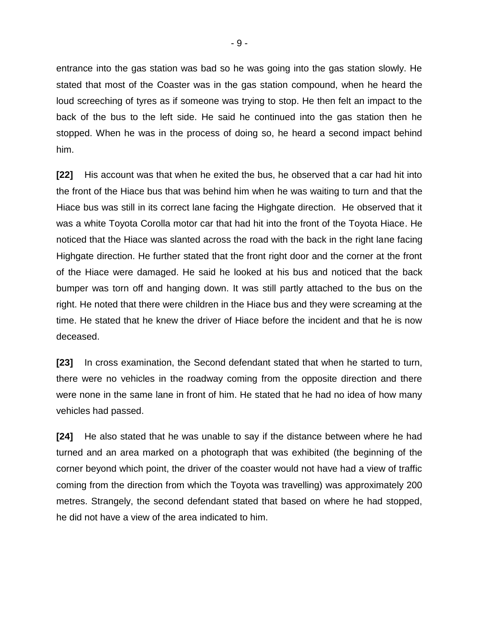entrance into the gas station was bad so he was going into the gas station slowly. He stated that most of the Coaster was in the gas station compound, when he heard the loud screeching of tyres as if someone was trying to stop. He then felt an impact to the back of the bus to the left side. He said he continued into the gas station then he stopped. When he was in the process of doing so, he heard a second impact behind him.

**[22]** His account was that when he exited the bus, he observed that a car had hit into the front of the Hiace bus that was behind him when he was waiting to turn and that the Hiace bus was still in its correct lane facing the Highgate direction. He observed that it was a white Toyota Corolla motor car that had hit into the front of the Toyota Hiace. He noticed that the Hiace was slanted across the road with the back in the right lane facing Highgate direction. He further stated that the front right door and the corner at the front of the Hiace were damaged. He said he looked at his bus and noticed that the back bumper was torn off and hanging down. It was still partly attached to the bus on the right. He noted that there were children in the Hiace bus and they were screaming at the time. He stated that he knew the driver of Hiace before the incident and that he is now deceased.

**[23]** In cross examination, the Second defendant stated that when he started to turn, there were no vehicles in the roadway coming from the opposite direction and there were none in the same lane in front of him. He stated that he had no idea of how many vehicles had passed.

**[24]** He also stated that he was unable to say if the distance between where he had turned and an area marked on a photograph that was exhibited (the beginning of the corner beyond which point, the driver of the coaster would not have had a view of traffic coming from the direction from which the Toyota was travelling) was approximately 200 metres. Strangely, the second defendant stated that based on where he had stopped, he did not have a view of the area indicated to him.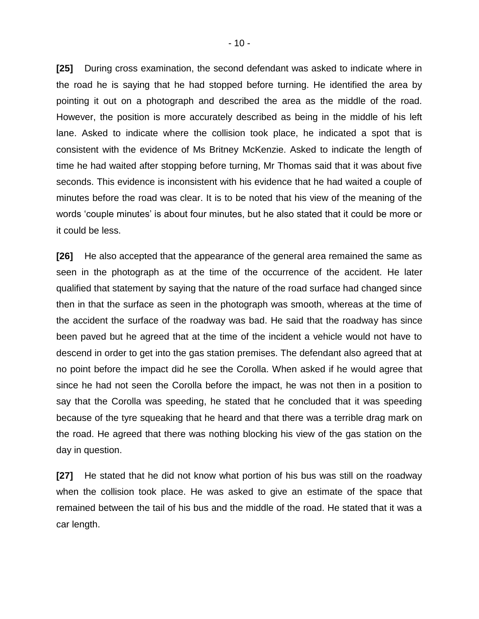**[25]** During cross examination, the second defendant was asked to indicate where in the road he is saying that he had stopped before turning. He identified the area by pointing it out on a photograph and described the area as the middle of the road. However, the position is more accurately described as being in the middle of his left lane. Asked to indicate where the collision took place, he indicated a spot that is consistent with the evidence of Ms Britney McKenzie. Asked to indicate the length of time he had waited after stopping before turning, Mr Thomas said that it was about five seconds. This evidence is inconsistent with his evidence that he had waited a couple of minutes before the road was clear. It is to be noted that his view of the meaning of the words 'couple minutes' is about four minutes, but he also stated that it could be more or it could be less.

**[26]** He also accepted that the appearance of the general area remained the same as seen in the photograph as at the time of the occurrence of the accident. He later qualified that statement by saying that the nature of the road surface had changed since then in that the surface as seen in the photograph was smooth, whereas at the time of the accident the surface of the roadway was bad. He said that the roadway has since been paved but he agreed that at the time of the incident a vehicle would not have to descend in order to get into the gas station premises. The defendant also agreed that at no point before the impact did he see the Corolla. When asked if he would agree that since he had not seen the Corolla before the impact, he was not then in a position to say that the Corolla was speeding, he stated that he concluded that it was speeding because of the tyre squeaking that he heard and that there was a terrible drag mark on the road. He agreed that there was nothing blocking his view of the gas station on the day in question.

**[27]** He stated that he did not know what portion of his bus was still on the roadway when the collision took place. He was asked to give an estimate of the space that remained between the tail of his bus and the middle of the road. He stated that it was a car length.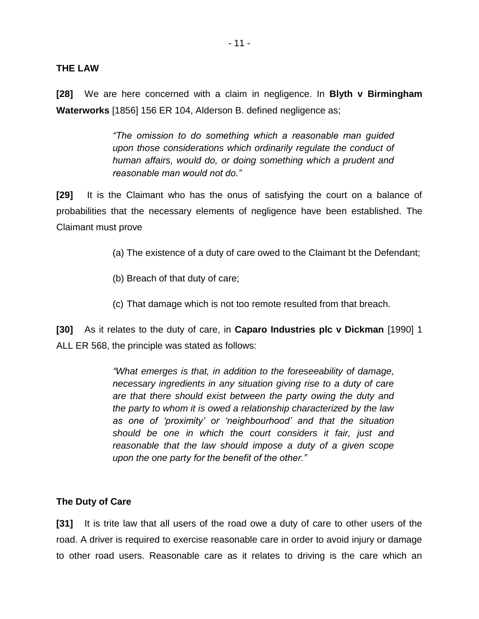### **THE LAW**

**[28]** We are here concerned with a claim in negligence. In **Blyth v Birmingham Waterworks** [1856] 156 ER 104, Alderson B. defined negligence as;

> *"The omission to do something which a reasonable man guided upon those considerations which ordinarily regulate the conduct of human affairs, would do, or doing something which a prudent and reasonable man would not do."*

**[29]** It is the Claimant who has the onus of satisfying the court on a balance of probabilities that the necessary elements of negligence have been established. The Claimant must prove

- (a) The existence of a duty of care owed to the Claimant bt the Defendant;
- (b) Breach of that duty of care;
- (c) That damage which is not too remote resulted from that breach.

**[30]** As it relates to the duty of care, in **Caparo Industries plc v Dickman** [1990] 1 ALL ER 568, the principle was stated as follows:

> *"What emerges is that, in addition to the foreseeability of damage, necessary ingredients in any situation giving rise to a duty of care are that there should exist between the party owing the duty and the party to whom it is owed a relationship characterized by the law as one of 'proximity' or 'neighbourhood' and that the situation should be one in which the court considers it fair, just and reasonable that the law should impose a duty of a given scope upon the one party for the benefit of the other."*

### **The Duty of Care**

**[31]** It is trite law that all users of the road owe a duty of care to other users of the road. A driver is required to exercise reasonable care in order to avoid injury or damage to other road users. Reasonable care as it relates to driving is the care which an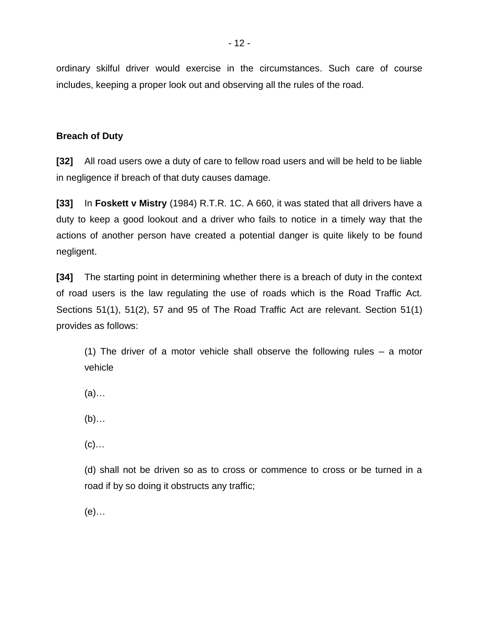ordinary skilful driver would exercise in the circumstances. Such care of course includes, keeping a proper look out and observing all the rules of the road.

# **Breach of Duty**

**[32]** All road users owe a duty of care to fellow road users and will be held to be liable in negligence if breach of that duty causes damage.

**[33]** In **Foskett v Mistry** (1984) R.T.R. 1C. A 660, it was stated that all drivers have a duty to keep a good lookout and a driver who fails to notice in a timely way that the actions of another person have created a potential danger is quite likely to be found negligent.

**[34]** The starting point in determining whether there is a breach of duty in the context of road users is the law regulating the use of roads which is the Road Traffic Act. Sections 51(1), 51(2), 57 and 95 of The Road Traffic Act are relevant. Section 51(1) provides as follows:

(1) The driver of a motor vehicle shall observe the following rules – a motor vehicle

- (a)…
- (b)…
- $(c)$ …

(d) shall not be driven so as to cross or commence to cross or be turned in a road if by so doing it obstructs any traffic;

(e)…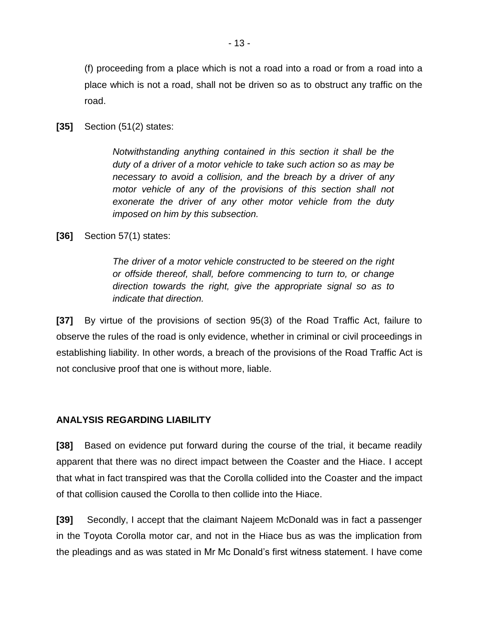(f) proceeding from a place which is not a road into a road or from a road into a place which is not a road, shall not be driven so as to obstruct any traffic on the road.

**[35]** Section (51(2) states:

*Notwithstanding anything contained in this section it shall be the duty of a driver of a motor vehicle to take such action so as may be necessary to avoid a collision, and the breach by a driver of any motor vehicle of any of the provisions of this section shall not exonerate the driver of any other motor vehicle from the duty imposed on him by this subsection.*

## **[36]** Section 57(1) states:

*The driver of a motor vehicle constructed to be steered on the right or offside thereof, shall, before commencing to turn to, or change direction towards the right, give the appropriate signal so as to indicate that direction.*

**[37]** By virtue of the provisions of section 95(3) of the Road Traffic Act, failure to observe the rules of the road is only evidence, whether in criminal or civil proceedings in establishing liability. In other words, a breach of the provisions of the Road Traffic Act is not conclusive proof that one is without more, liable.

## **ANALYSIS REGARDING LIABILITY**

**[38]** Based on evidence put forward during the course of the trial, it became readily apparent that there was no direct impact between the Coaster and the Hiace. I accept that what in fact transpired was that the Corolla collided into the Coaster and the impact of that collision caused the Corolla to then collide into the Hiace.

**[39]** Secondly, I accept that the claimant Najeem McDonald was in fact a passenger in the Toyota Corolla motor car, and not in the Hiace bus as was the implication from the pleadings and as was stated in Mr Mc Donald's first witness statement. I have come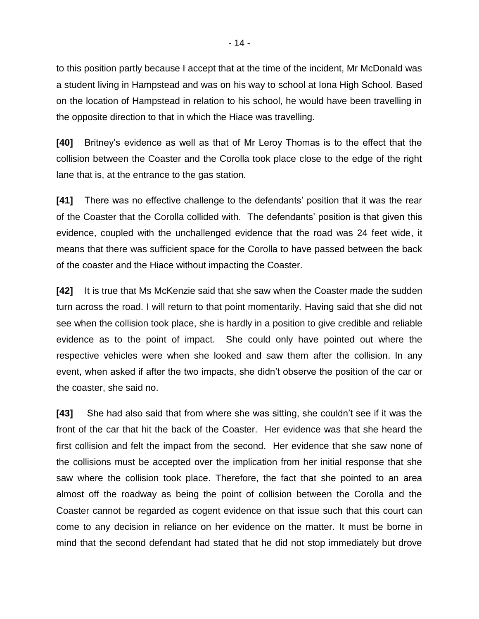to this position partly because I accept that at the time of the incident, Mr McDonald was a student living in Hampstead and was on his way to school at Iona High School. Based on the location of Hampstead in relation to his school, he would have been travelling in the opposite direction to that in which the Hiace was travelling.

**[40]** Britney's evidence as well as that of Mr Leroy Thomas is to the effect that the collision between the Coaster and the Corolla took place close to the edge of the right lane that is, at the entrance to the gas station.

**[41]** There was no effective challenge to the defendants' position that it was the rear of the Coaster that the Corolla collided with. The defendants' position is that given this evidence, coupled with the unchallenged evidence that the road was 24 feet wide, it means that there was sufficient space for the Corolla to have passed between the back of the coaster and the Hiace without impacting the Coaster.

**[42]** It is true that Ms McKenzie said that she saw when the Coaster made the sudden turn across the road. I will return to that point momentarily. Having said that she did not see when the collision took place, she is hardly in a position to give credible and reliable evidence as to the point of impact. She could only have pointed out where the respective vehicles were when she looked and saw them after the collision. In any event, when asked if after the two impacts, she didn't observe the position of the car or the coaster, she said no.

**[43]** She had also said that from where she was sitting, she couldn't see if it was the front of the car that hit the back of the Coaster. Her evidence was that she heard the first collision and felt the impact from the second. Her evidence that she saw none of the collisions must be accepted over the implication from her initial response that she saw where the collision took place. Therefore, the fact that she pointed to an area almost off the roadway as being the point of collision between the Corolla and the Coaster cannot be regarded as cogent evidence on that issue such that this court can come to any decision in reliance on her evidence on the matter. It must be borne in mind that the second defendant had stated that he did not stop immediately but drove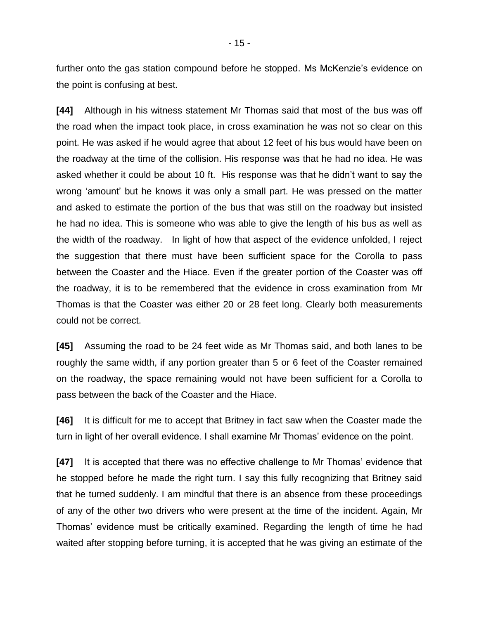further onto the gas station compound before he stopped. Ms McKenzie's evidence on the point is confusing at best.

**[44]** Although in his witness statement Mr Thomas said that most of the bus was off the road when the impact took place, in cross examination he was not so clear on this point. He was asked if he would agree that about 12 feet of his bus would have been on the roadway at the time of the collision. His response was that he had no idea. He was asked whether it could be about 10 ft. His response was that he didn't want to say the wrong 'amount' but he knows it was only a small part. He was pressed on the matter and asked to estimate the portion of the bus that was still on the roadway but insisted he had no idea. This is someone who was able to give the length of his bus as well as the width of the roadway. In light of how that aspect of the evidence unfolded, I reject the suggestion that there must have been sufficient space for the Corolla to pass between the Coaster and the Hiace. Even if the greater portion of the Coaster was off the roadway, it is to be remembered that the evidence in cross examination from Mr Thomas is that the Coaster was either 20 or 28 feet long. Clearly both measurements could not be correct.

**[45]** Assuming the road to be 24 feet wide as Mr Thomas said, and both lanes to be roughly the same width, if any portion greater than 5 or 6 feet of the Coaster remained on the roadway, the space remaining would not have been sufficient for a Corolla to pass between the back of the Coaster and the Hiace.

**[46]** It is difficult for me to accept that Britney in fact saw when the Coaster made the turn in light of her overall evidence. I shall examine Mr Thomas' evidence on the point.

**[47]** It is accepted that there was no effective challenge to Mr Thomas' evidence that he stopped before he made the right turn. I say this fully recognizing that Britney said that he turned suddenly. I am mindful that there is an absence from these proceedings of any of the other two drivers who were present at the time of the incident. Again, Mr Thomas' evidence must be critically examined. Regarding the length of time he had waited after stopping before turning, it is accepted that he was giving an estimate of the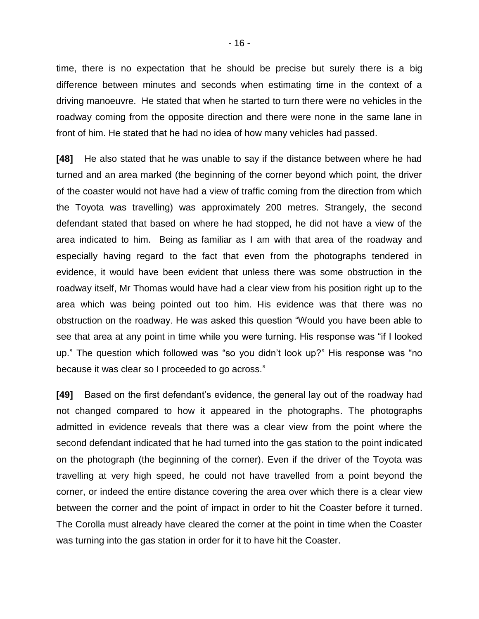time, there is no expectation that he should be precise but surely there is a big difference between minutes and seconds when estimating time in the context of a driving manoeuvre. He stated that when he started to turn there were no vehicles in the roadway coming from the opposite direction and there were none in the same lane in front of him. He stated that he had no idea of how many vehicles had passed.

**[48]** He also stated that he was unable to say if the distance between where he had turned and an area marked (the beginning of the corner beyond which point, the driver of the coaster would not have had a view of traffic coming from the direction from which the Toyota was travelling) was approximately 200 metres. Strangely, the second defendant stated that based on where he had stopped, he did not have a view of the area indicated to him. Being as familiar as I am with that area of the roadway and especially having regard to the fact that even from the photographs tendered in evidence, it would have been evident that unless there was some obstruction in the roadway itself, Mr Thomas would have had a clear view from his position right up to the area which was being pointed out too him. His evidence was that there was no obstruction on the roadway. He was asked this question "Would you have been able to see that area at any point in time while you were turning. His response was "if I looked up." The question which followed was "so you didn't look up?" His response was "no because it was clear so I proceeded to go across."

**[49]** Based on the first defendant's evidence, the general lay out of the roadway had not changed compared to how it appeared in the photographs. The photographs admitted in evidence reveals that there was a clear view from the point where the second defendant indicated that he had turned into the gas station to the point indicated on the photograph (the beginning of the corner). Even if the driver of the Toyota was travelling at very high speed, he could not have travelled from a point beyond the corner, or indeed the entire distance covering the area over which there is a clear view between the corner and the point of impact in order to hit the Coaster before it turned. The Corolla must already have cleared the corner at the point in time when the Coaster was turning into the gas station in order for it to have hit the Coaster.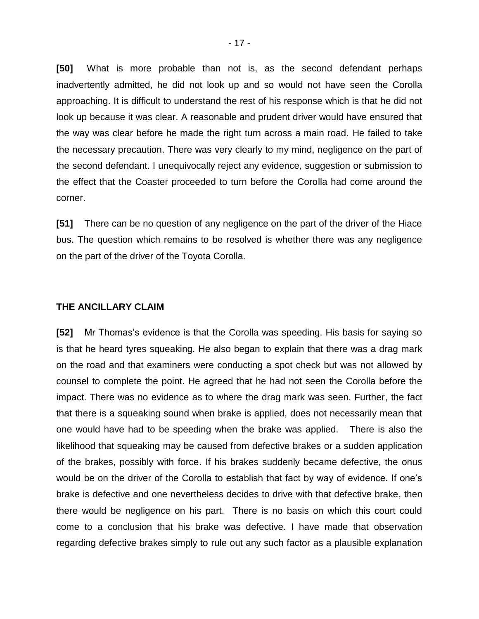**[50]** What is more probable than not is, as the second defendant perhaps inadvertently admitted, he did not look up and so would not have seen the Corolla approaching. It is difficult to understand the rest of his response which is that he did not look up because it was clear. A reasonable and prudent driver would have ensured that the way was clear before he made the right turn across a main road. He failed to take the necessary precaution. There was very clearly to my mind, negligence on the part of the second defendant. I unequivocally reject any evidence, suggestion or submission to the effect that the Coaster proceeded to turn before the Corolla had come around the corner.

**[51]** There can be no question of any negligence on the part of the driver of the Hiace bus. The question which remains to be resolved is whether there was any negligence on the part of the driver of the Toyota Corolla.

#### **THE ANCILLARY CLAIM**

**[52]** Mr Thomas's evidence is that the Corolla was speeding. His basis for saying so is that he heard tyres squeaking. He also began to explain that there was a drag mark on the road and that examiners were conducting a spot check but was not allowed by counsel to complete the point. He agreed that he had not seen the Corolla before the impact. There was no evidence as to where the drag mark was seen. Further, the fact that there is a squeaking sound when brake is applied, does not necessarily mean that one would have had to be speeding when the brake was applied. There is also the likelihood that squeaking may be caused from defective brakes or a sudden application of the brakes, possibly with force. If his brakes suddenly became defective, the onus would be on the driver of the Corolla to establish that fact by way of evidence. If one's brake is defective and one nevertheless decides to drive with that defective brake, then there would be negligence on his part. There is no basis on which this court could come to a conclusion that his brake was defective. I have made that observation regarding defective brakes simply to rule out any such factor as a plausible explanation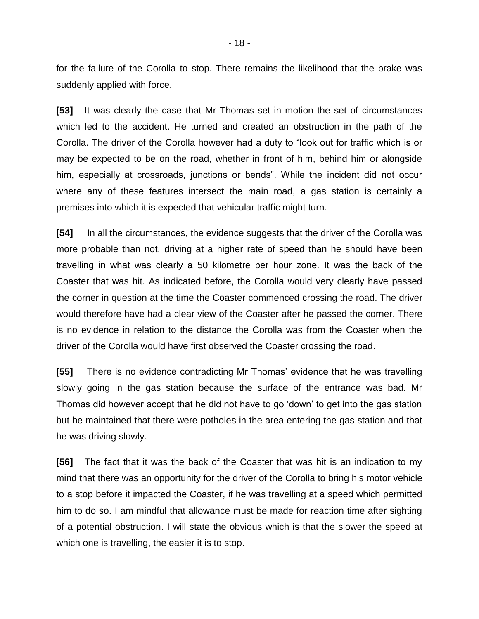for the failure of the Corolla to stop. There remains the likelihood that the brake was suddenly applied with force.

**[53]** It was clearly the case that Mr Thomas set in motion the set of circumstances which led to the accident. He turned and created an obstruction in the path of the Corolla. The driver of the Corolla however had a duty to "look out for traffic which is or may be expected to be on the road, whether in front of him, behind him or alongside him, especially at crossroads, junctions or bends". While the incident did not occur where any of these features intersect the main road, a gas station is certainly a premises into which it is expected that vehicular traffic might turn.

**[54]** In all the circumstances, the evidence suggests that the driver of the Corolla was more probable than not, driving at a higher rate of speed than he should have been travelling in what was clearly a 50 kilometre per hour zone. It was the back of the Coaster that was hit. As indicated before, the Corolla would very clearly have passed the corner in question at the time the Coaster commenced crossing the road. The driver would therefore have had a clear view of the Coaster after he passed the corner. There is no evidence in relation to the distance the Corolla was from the Coaster when the driver of the Corolla would have first observed the Coaster crossing the road.

**[55]** There is no evidence contradicting Mr Thomas' evidence that he was travelling slowly going in the gas station because the surface of the entrance was bad. Mr Thomas did however accept that he did not have to go 'down' to get into the gas station but he maintained that there were potholes in the area entering the gas station and that he was driving slowly.

**[56]** The fact that it was the back of the Coaster that was hit is an indication to my mind that there was an opportunity for the driver of the Corolla to bring his motor vehicle to a stop before it impacted the Coaster, if he was travelling at a speed which permitted him to do so. I am mindful that allowance must be made for reaction time after sighting of a potential obstruction. I will state the obvious which is that the slower the speed at which one is travelling, the easier it is to stop.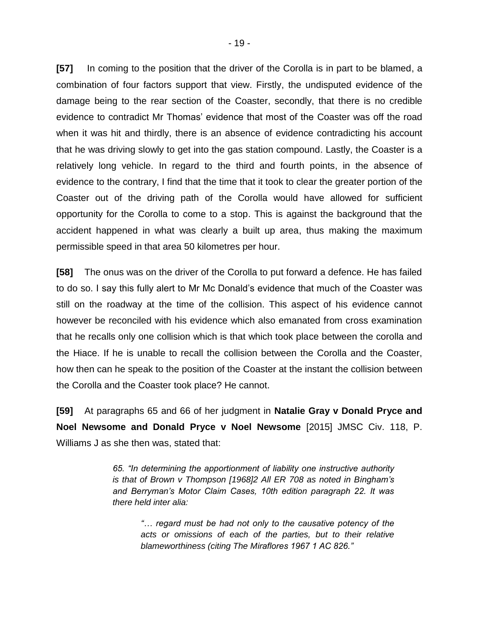**[57]** In coming to the position that the driver of the Corolla is in part to be blamed, a combination of four factors support that view. Firstly, the undisputed evidence of the damage being to the rear section of the Coaster, secondly, that there is no credible evidence to contradict Mr Thomas' evidence that most of the Coaster was off the road when it was hit and thirdly, there is an absence of evidence contradicting his account that he was driving slowly to get into the gas station compound. Lastly, the Coaster is a relatively long vehicle. In regard to the third and fourth points, in the absence of evidence to the contrary, I find that the time that it took to clear the greater portion of the Coaster out of the driving path of the Corolla would have allowed for sufficient opportunity for the Corolla to come to a stop. This is against the background that the accident happened in what was clearly a built up area, thus making the maximum permissible speed in that area 50 kilometres per hour.

**[58]** The onus was on the driver of the Corolla to put forward a defence. He has failed to do so. I say this fully alert to Mr Mc Donald's evidence that much of the Coaster was still on the roadway at the time of the collision. This aspect of his evidence cannot however be reconciled with his evidence which also emanated from cross examination that he recalls only one collision which is that which took place between the corolla and the Hiace. If he is unable to recall the collision between the Corolla and the Coaster, how then can he speak to the position of the Coaster at the instant the collision between the Corolla and the Coaster took place? He cannot.

**[59]** At paragraphs 65 and 66 of her judgment in **Natalie Gray v Donald Pryce and Noel Newsome and Donald Pryce v Noel Newsome** [2015] JMSC Civ. 118, P. Williams J as she then was, stated that:

> *65. "In determining the apportionment of liability one instructive authority is that of Brown v Thompson [1968]2 All ER 708 as noted in Bingham's and Berryman's Motor Claim Cases, 10th edition paragraph 22. It was there held inter alia:*

*"… regard must be had not only to the causative potency of the acts or omissions of each of the parties, but to their relative blameworthiness (citing The Miraflores 1967 1 AC 826."*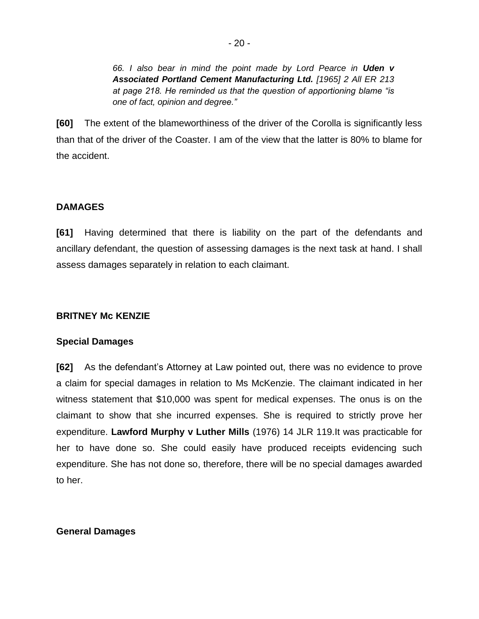*66. I also bear in mind the point made by Lord Pearce in Uden v Associated Portland Cement Manufacturing Ltd. [1965] 2 All ER 213 at page 218. He reminded us that the question of apportioning blame "is one of fact, opinion and degree."*

**[60]** The extent of the blameworthiness of the driver of the Corolla is significantly less than that of the driver of the Coaster. I am of the view that the latter is 80% to blame for the accident.

# **DAMAGES**

**[61]** Having determined that there is liability on the part of the defendants and ancillary defendant, the question of assessing damages is the next task at hand. I shall assess damages separately in relation to each claimant.

## **BRITNEY Mc KENZIE**

## **Special Damages**

**[62]** As the defendant's Attorney at Law pointed out, there was no evidence to prove a claim for special damages in relation to Ms McKenzie. The claimant indicated in her witness statement that \$10,000 was spent for medical expenses. The onus is on the claimant to show that she incurred expenses. She is required to strictly prove her expenditure. **Lawford Murphy v Luther Mills** (1976) 14 JLR 119.It was practicable for her to have done so. She could easily have produced receipts evidencing such expenditure. She has not done so, therefore, there will be no special damages awarded to her.

# **General Damages**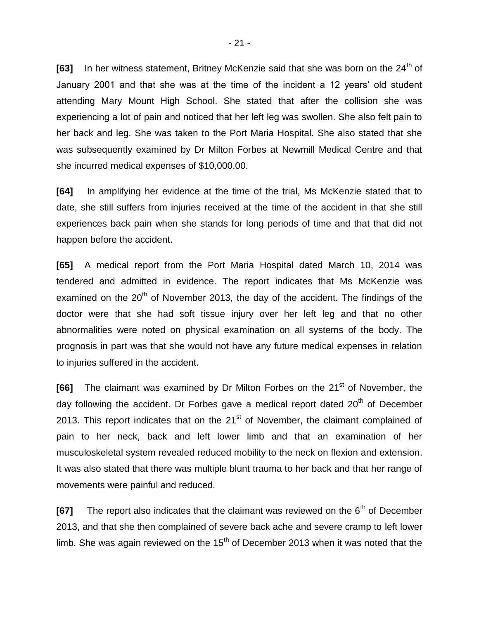**[63]** In her witness statement, Britney McKenzie said that she was born on the 24<sup>th</sup> of January 2001 and that she was at the time of the incident a 12 years' old student attending Mary Mount High School. She stated that after the collision she was experiencing a lot of pain and noticed that her left leg was swollen. She also felt pain to her back and leg. She was taken to the Port Maria Hospital. She also stated that she was subsequently examined by Dr Milton Forbes at Newmill Medical Centre and that she incurred medical expenses of \$10,000.00.

**[64]** In amplifying her evidence at the time of the trial, Ms McKenzie stated that to date, she still suffers from injuries received at the time of the accident in that she still experiences back pain when she stands for long periods of time and that that did not happen before the accident.

**[65]** A medical report from the Port Maria Hospital dated March 10, 2014 was tendered and admitted in evidence. The report indicates that Ms McKenzie was examined on the  $20<sup>th</sup>$  of November 2013, the day of the accident. The findings of the doctor were that she had soft tissue injury over her left leg and that no other abnormalities were noted on physical examination on all systems of the body. The prognosis in part was that she would not have any future medical expenses in relation to injuries suffered in the accident.

**[66]** The claimant was examined by Dr Milton Forbes on the 21<sup>st</sup> of November, the day following the accident. Dr Forbes gave a medical report dated  $20<sup>th</sup>$  of December 2013. This report indicates that on the  $21<sup>st</sup>$  of November, the claimant complained of pain to her neck, back and left lower limb and that an examination of her musculoskeletal system revealed reduced mobility to the neck on flexion and extension. It was also stated that there was multiple blunt trauma to her back and that her range of movements were painful and reduced.

**[67]** The report also indicates that the claimant was reviewed on the 6<sup>th</sup> of December 2013, and that she then complained of severe back ache and severe cramp to left lower limb. She was again reviewed on the  $15<sup>th</sup>$  of December 2013 when it was noted that the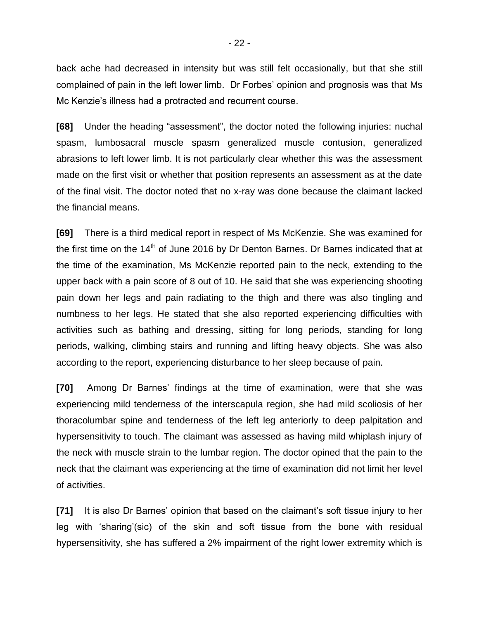back ache had decreased in intensity but was still felt occasionally, but that she still complained of pain in the left lower limb. Dr Forbes' opinion and prognosis was that Ms Mc Kenzie's illness had a protracted and recurrent course.

**[68]** Under the heading "assessment", the doctor noted the following injuries: nuchal spasm, lumbosacral muscle spasm generalized muscle contusion, generalized abrasions to left lower limb. It is not particularly clear whether this was the assessment made on the first visit or whether that position represents an assessment as at the date of the final visit. The doctor noted that no x-ray was done because the claimant lacked the financial means.

**[69]** There is a third medical report in respect of Ms McKenzie. She was examined for the first time on the  $14<sup>th</sup>$  of June 2016 by Dr Denton Barnes. Dr Barnes indicated that at the time of the examination, Ms McKenzie reported pain to the neck, extending to the upper back with a pain score of 8 out of 10. He said that she was experiencing shooting pain down her legs and pain radiating to the thigh and there was also tingling and numbness to her legs. He stated that she also reported experiencing difficulties with activities such as bathing and dressing, sitting for long periods, standing for long periods, walking, climbing stairs and running and lifting heavy objects. She was also according to the report, experiencing disturbance to her sleep because of pain.

**[70]** Among Dr Barnes' findings at the time of examination, were that she was experiencing mild tenderness of the interscapula region, she had mild scoliosis of her thoracolumbar spine and tenderness of the left leg anteriorly to deep palpitation and hypersensitivity to touch. The claimant was assessed as having mild whiplash injury of the neck with muscle strain to the lumbar region. The doctor opined that the pain to the neck that the claimant was experiencing at the time of examination did not limit her level of activities.

**[71]** It is also Dr Barnes' opinion that based on the claimant's soft tissue injury to her leg with 'sharing'(sic) of the skin and soft tissue from the bone with residual hypersensitivity, she has suffered a 2% impairment of the right lower extremity which is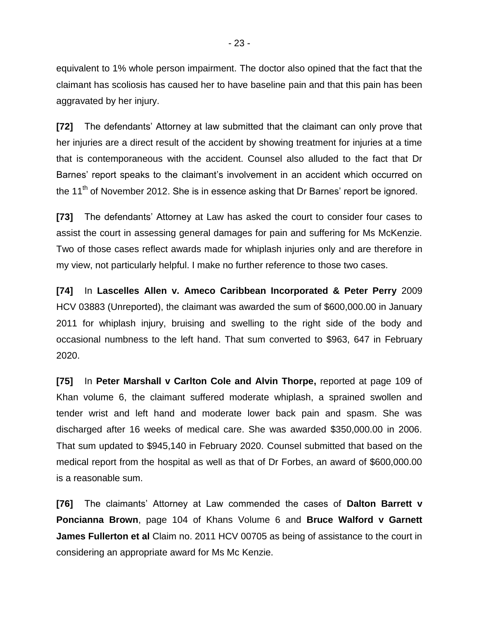equivalent to 1% whole person impairment. The doctor also opined that the fact that the claimant has scoliosis has caused her to have baseline pain and that this pain has been aggravated by her injury.

**[72]** The defendants' Attorney at law submitted that the claimant can only prove that her injuries are a direct result of the accident by showing treatment for injuries at a time that is contemporaneous with the accident. Counsel also alluded to the fact that Dr Barnes' report speaks to the claimant's involvement in an accident which occurred on the 11<sup>th</sup> of November 2012. She is in essence asking that Dr Barnes' report be ignored.

**[73]** The defendants' Attorney at Law has asked the court to consider four cases to assist the court in assessing general damages for pain and suffering for Ms McKenzie. Two of those cases reflect awards made for whiplash injuries only and are therefore in my view, not particularly helpful. I make no further reference to those two cases.

**[74]** In **Lascelles Allen v. Ameco Caribbean Incorporated & Peter Perry** 2009 HCV 03883 (Unreported), the claimant was awarded the sum of \$600,000.00 in January 2011 for whiplash injury, bruising and swelling to the right side of the body and occasional numbness to the left hand. That sum converted to \$963, 647 in February 2020.

**[75]** In **Peter Marshall v Carlton Cole and Alvin Thorpe,** reported at page 109 of Khan volume 6, the claimant suffered moderate whiplash, a sprained swollen and tender wrist and left hand and moderate lower back pain and spasm. She was discharged after 16 weeks of medical care. She was awarded \$350,000.00 in 2006. That sum updated to \$945,140 in February 2020. Counsel submitted that based on the medical report from the hospital as well as that of Dr Forbes, an award of \$600,000.00 is a reasonable sum.

**[76]** The claimants' Attorney at Law commended the cases of **Dalton Barrett v Poncianna Brown**, page 104 of Khans Volume 6 and **Bruce Walford v Garnett James Fullerton et al** Claim no. 2011 HCV 00705 as being of assistance to the court in considering an appropriate award for Ms Mc Kenzie.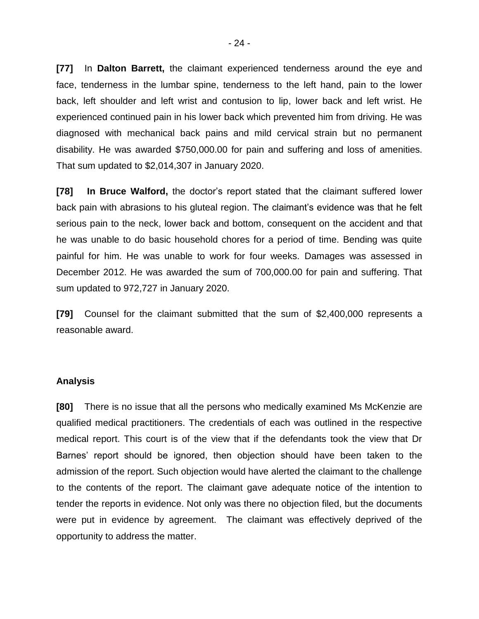**[77]** In **Dalton Barrett,** the claimant experienced tenderness around the eye and face, tenderness in the lumbar spine, tenderness to the left hand, pain to the lower back, left shoulder and left wrist and contusion to lip, lower back and left wrist. He experienced continued pain in his lower back which prevented him from driving. He was diagnosed with mechanical back pains and mild cervical strain but no permanent disability. He was awarded \$750,000.00 for pain and suffering and loss of amenities. That sum updated to \$2,014,307 in January 2020.

**[78] In Bruce Walford,** the doctor's report stated that the claimant suffered lower back pain with abrasions to his gluteal region. The claimant's evidence was that he felt serious pain to the neck, lower back and bottom, consequent on the accident and that he was unable to do basic household chores for a period of time. Bending was quite painful for him. He was unable to work for four weeks. Damages was assessed in December 2012. He was awarded the sum of 700,000.00 for pain and suffering. That sum updated to 972,727 in January 2020.

**[79]** Counsel for the claimant submitted that the sum of \$2,400,000 represents a reasonable award.

#### **Analysis**

**[80]** There is no issue that all the persons who medically examined Ms McKenzie are qualified medical practitioners. The credentials of each was outlined in the respective medical report. This court is of the view that if the defendants took the view that Dr Barnes' report should be ignored, then objection should have been taken to the admission of the report. Such objection would have alerted the claimant to the challenge to the contents of the report. The claimant gave adequate notice of the intention to tender the reports in evidence. Not only was there no objection filed, but the documents were put in evidence by agreement. The claimant was effectively deprived of the opportunity to address the matter.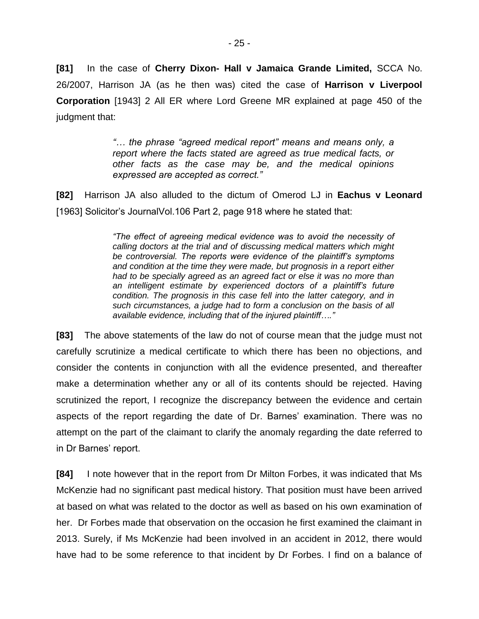**[81]** In the case of **Cherry Dixon- Hall v Jamaica Grande Limited,** SCCA No. 26/2007, Harrison JA (as he then was) cited the case of **Harrison v Liverpool Corporation** [1943] 2 All ER where Lord Greene MR explained at page 450 of the judgment that:

> *"… the phrase "agreed medical report" means and means only, a report where the facts stated are agreed as true medical facts, or other facts as the case may be, and the medical opinions expressed are accepted as correct."*

**[82]** Harrison JA also alluded to the dictum of Omerod LJ in **Eachus v Leonard** [1963] Solicitor's JournalVol.106 Part 2, page 918 where he stated that:

> *"The effect of agreeing medical evidence was to avoid the necessity of calling doctors at the trial and of discussing medical matters which might be controversial. The reports were evidence of the plaintiff's symptoms and condition at the time they were made, but prognosis in a report either had to be specially agreed as an agreed fact or else it was no more than an intelligent estimate by experienced doctors of a plaintiff's future condition. The prognosis in this case fell into the latter category, and in such circumstances, a judge had to form a conclusion on the basis of all available evidence, including that of the injured plaintiff…."*

**[83]** The above statements of the law do not of course mean that the judge must not carefully scrutinize a medical certificate to which there has been no objections, and consider the contents in conjunction with all the evidence presented, and thereafter make a determination whether any or all of its contents should be rejected. Having scrutinized the report, I recognize the discrepancy between the evidence and certain aspects of the report regarding the date of Dr. Barnes' examination. There was no attempt on the part of the claimant to clarify the anomaly regarding the date referred to in Dr Barnes' report.

**[84]** I note however that in the report from Dr Milton Forbes, it was indicated that Ms McKenzie had no significant past medical history. That position must have been arrived at based on what was related to the doctor as well as based on his own examination of her. Dr Forbes made that observation on the occasion he first examined the claimant in 2013. Surely, if Ms McKenzie had been involved in an accident in 2012, there would have had to be some reference to that incident by Dr Forbes. I find on a balance of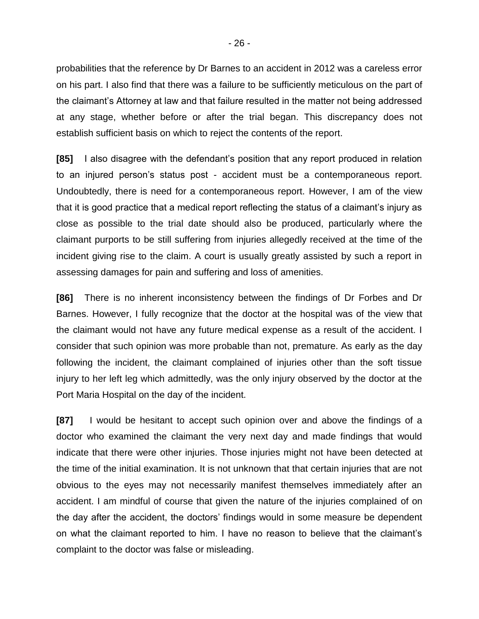probabilities that the reference by Dr Barnes to an accident in 2012 was a careless error on his part. I also find that there was a failure to be sufficiently meticulous on the part of the claimant's Attorney at law and that failure resulted in the matter not being addressed at any stage, whether before or after the trial began. This discrepancy does not establish sufficient basis on which to reject the contents of the report.

**[85]** I also disagree with the defendant's position that any report produced in relation to an injured person's status post - accident must be a contemporaneous report. Undoubtedly, there is need for a contemporaneous report. However, I am of the view that it is good practice that a medical report reflecting the status of a claimant's injury as close as possible to the trial date should also be produced, particularly where the claimant purports to be still suffering from injuries allegedly received at the time of the incident giving rise to the claim. A court is usually greatly assisted by such a report in assessing damages for pain and suffering and loss of amenities.

**[86]** There is no inherent inconsistency between the findings of Dr Forbes and Dr Barnes. However, I fully recognize that the doctor at the hospital was of the view that the claimant would not have any future medical expense as a result of the accident. I consider that such opinion was more probable than not, premature. As early as the day following the incident, the claimant complained of injuries other than the soft tissue injury to her left leg which admittedly, was the only injury observed by the doctor at the Port Maria Hospital on the day of the incident.

**[87]** I would be hesitant to accept such opinion over and above the findings of a doctor who examined the claimant the very next day and made findings that would indicate that there were other injuries. Those injuries might not have been detected at the time of the initial examination. It is not unknown that that certain injuries that are not obvious to the eyes may not necessarily manifest themselves immediately after an accident. I am mindful of course that given the nature of the injuries complained of on the day after the accident, the doctors' findings would in some measure be dependent on what the claimant reported to him. I have no reason to believe that the claimant's complaint to the doctor was false or misleading.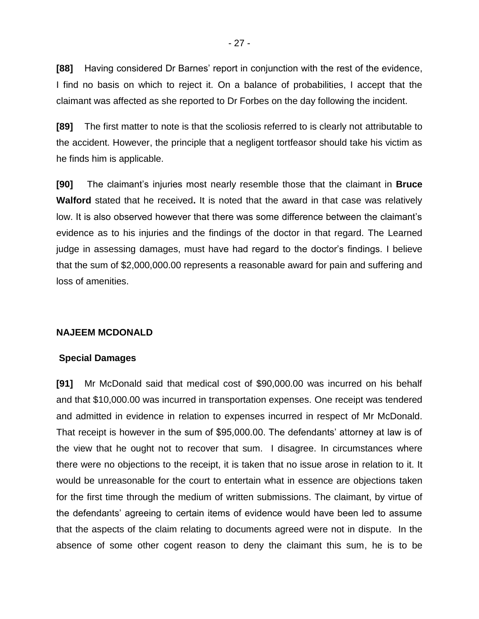**[88]** Having considered Dr Barnes' report in conjunction with the rest of the evidence, I find no basis on which to reject it. On a balance of probabilities, I accept that the claimant was affected as she reported to Dr Forbes on the day following the incident.

**[89]** The first matter to note is that the scoliosis referred to is clearly not attributable to the accident. However, the principle that a negligent tortfeasor should take his victim as he finds him is applicable.

**[90]** The claimant's injuries most nearly resemble those that the claimant in **Bruce Walford** stated that he received**.** It is noted that the award in that case was relatively low. It is also observed however that there was some difference between the claimant's evidence as to his injuries and the findings of the doctor in that regard. The Learned judge in assessing damages, must have had regard to the doctor's findings. I believe that the sum of \$2,000,000.00 represents a reasonable award for pain and suffering and loss of amenities.

## **NAJEEM MCDONALD**

### **Special Damages**

**[91]** Mr McDonald said that medical cost of \$90,000.00 was incurred on his behalf and that \$10,000.00 was incurred in transportation expenses. One receipt was tendered and admitted in evidence in relation to expenses incurred in respect of Mr McDonald. That receipt is however in the sum of \$95,000.00. The defendants' attorney at law is of the view that he ought not to recover that sum. I disagree. In circumstances where there were no objections to the receipt, it is taken that no issue arose in relation to it. It would be unreasonable for the court to entertain what in essence are objections taken for the first time through the medium of written submissions. The claimant, by virtue of the defendants' agreeing to certain items of evidence would have been led to assume that the aspects of the claim relating to documents agreed were not in dispute. In the absence of some other cogent reason to deny the claimant this sum, he is to be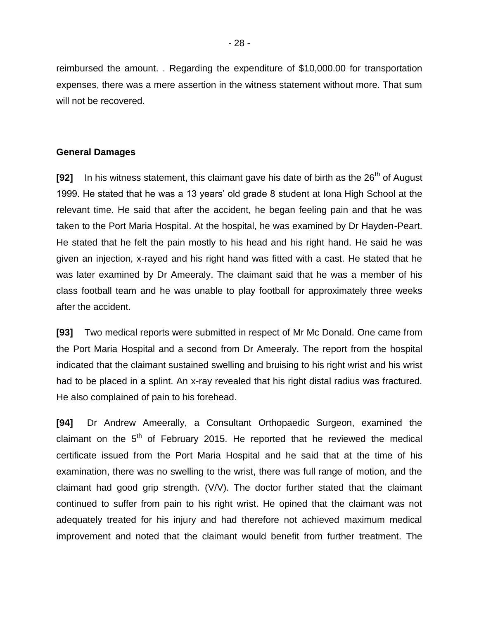reimbursed the amount. . Regarding the expenditure of \$10,000.00 for transportation expenses, there was a mere assertion in the witness statement without more. That sum will not be recovered.

#### **General Damages**

**[92]** In his witness statement, this claimant gave his date of birth as the 26<sup>th</sup> of August 1999. He stated that he was a 13 years' old grade 8 student at Iona High School at the relevant time. He said that after the accident, he began feeling pain and that he was taken to the Port Maria Hospital. At the hospital, he was examined by Dr Hayden-Peart. He stated that he felt the pain mostly to his head and his right hand. He said he was given an injection, x-rayed and his right hand was fitted with a cast. He stated that he was later examined by Dr Ameeraly. The claimant said that he was a member of his class football team and he was unable to play football for approximately three weeks after the accident.

**[93]** Two medical reports were submitted in respect of Mr Mc Donald. One came from the Port Maria Hospital and a second from Dr Ameeraly. The report from the hospital indicated that the claimant sustained swelling and bruising to his right wrist and his wrist had to be placed in a splint. An x-ray revealed that his right distal radius was fractured. He also complained of pain to his forehead.

**[94]** Dr Andrew Ameerally, a Consultant Orthopaedic Surgeon, examined the claimant on the  $5<sup>th</sup>$  of February 2015. He reported that he reviewed the medical certificate issued from the Port Maria Hospital and he said that at the time of his examination, there was no swelling to the wrist, there was full range of motion, and the claimant had good grip strength. (V/V). The doctor further stated that the claimant continued to suffer from pain to his right wrist. He opined that the claimant was not adequately treated for his injury and had therefore not achieved maximum medical improvement and noted that the claimant would benefit from further treatment. The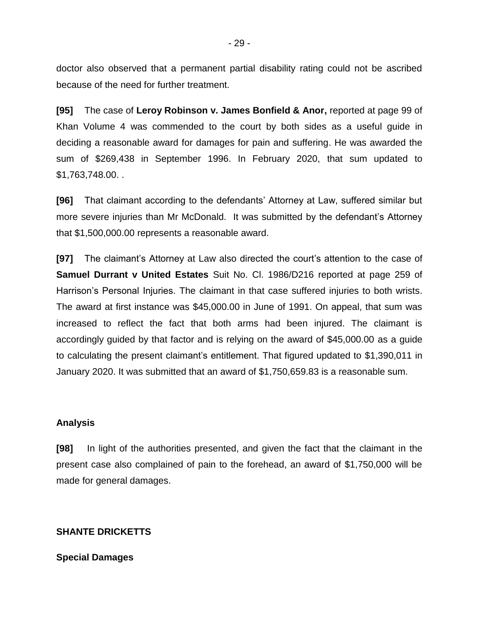doctor also observed that a permanent partial disability rating could not be ascribed because of the need for further treatment.

**[95]** The case of **Leroy Robinson v. James Bonfield & Anor,** reported at page 99 of Khan Volume 4 was commended to the court by both sides as a useful guide in deciding a reasonable award for damages for pain and suffering. He was awarded the sum of \$269,438 in September 1996. In February 2020, that sum updated to \$1,763,748.00. .

**[96]** That claimant according to the defendants' Attorney at Law, suffered similar but more severe injuries than Mr McDonald. It was submitted by the defendant's Attorney that \$1,500,000.00 represents a reasonable award.

**[97]** The claimant's Attorney at Law also directed the court's attention to the case of **Samuel Durrant v United Estates** Suit No. Cl. 1986/D216 reported at page 259 of Harrison's Personal Injuries. The claimant in that case suffered injuries to both wrists. The award at first instance was \$45,000.00 in June of 1991. On appeal, that sum was increased to reflect the fact that both arms had been injured. The claimant is accordingly guided by that factor and is relying on the award of \$45,000.00 as a guide to calculating the present claimant's entitlement. That figured updated to \$1,390,011 in January 2020. It was submitted that an award of \$1,750,659.83 is a reasonable sum.

#### **Analysis**

**[98]** In light of the authorities presented, and given the fact that the claimant in the present case also complained of pain to the forehead, an award of \$1,750,000 will be made for general damages.

### **SHANTE DRICKETTS**

### **Special Damages**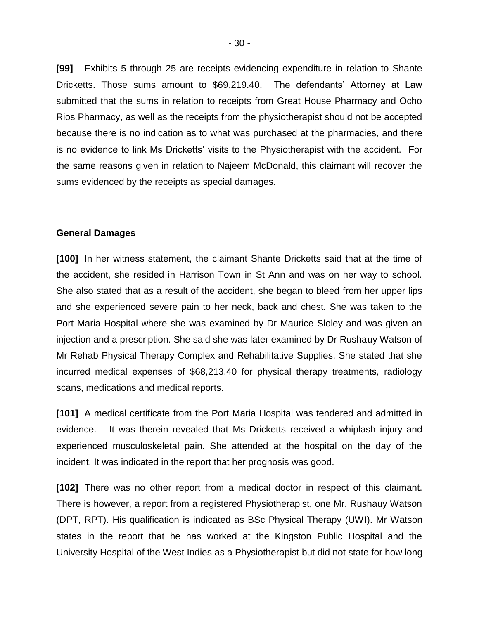**[99]** Exhibits 5 through 25 are receipts evidencing expenditure in relation to Shante Dricketts. Those sums amount to \$69,219.40. The defendants' Attorney at Law submitted that the sums in relation to receipts from Great House Pharmacy and Ocho Rios Pharmacy, as well as the receipts from the physiotherapist should not be accepted because there is no indication as to what was purchased at the pharmacies, and there is no evidence to link Ms Dricketts' visits to the Physiotherapist with the accident. For the same reasons given in relation to Najeem McDonald, this claimant will recover the sums evidenced by the receipts as special damages.

#### **General Damages**

**[100]** In her witness statement, the claimant Shante Dricketts said that at the time of the accident, she resided in Harrison Town in St Ann and was on her way to school. She also stated that as a result of the accident, she began to bleed from her upper lips and she experienced severe pain to her neck, back and chest. She was taken to the Port Maria Hospital where she was examined by Dr Maurice Sloley and was given an injection and a prescription. She said she was later examined by Dr Rushauy Watson of Mr Rehab Physical Therapy Complex and Rehabilitative Supplies. She stated that she incurred medical expenses of \$68,213.40 for physical therapy treatments, radiology scans, medications and medical reports.

**[101]** A medical certificate from the Port Maria Hospital was tendered and admitted in evidence. It was therein revealed that Ms Dricketts received a whiplash injury and experienced musculoskeletal pain. She attended at the hospital on the day of the incident. It was indicated in the report that her prognosis was good.

**[102]** There was no other report from a medical doctor in respect of this claimant. There is however, a report from a registered Physiotherapist, one Mr. Rushauy Watson (DPT, RPT). His qualification is indicated as BSc Physical Therapy (UWI). Mr Watson states in the report that he has worked at the Kingston Public Hospital and the University Hospital of the West Indies as a Physiotherapist but did not state for how long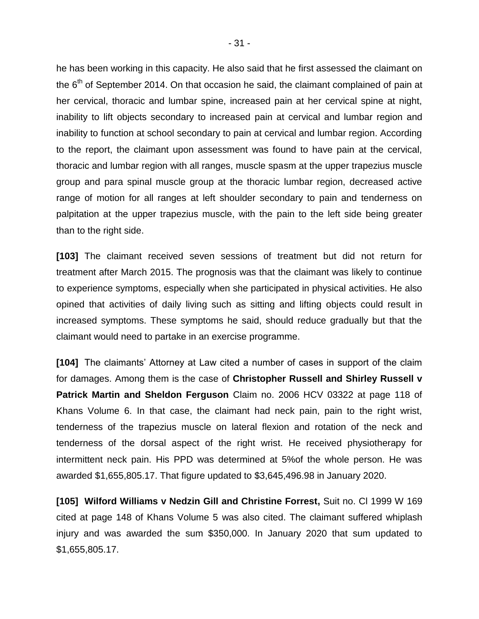he has been working in this capacity. He also said that he first assessed the claimant on the  $6<sup>th</sup>$  of September 2014. On that occasion he said, the claimant complained of pain at her cervical, thoracic and lumbar spine, increased pain at her cervical spine at night, inability to lift objects secondary to increased pain at cervical and lumbar region and inability to function at school secondary to pain at cervical and lumbar region. According to the report, the claimant upon assessment was found to have pain at the cervical, thoracic and lumbar region with all ranges, muscle spasm at the upper trapezius muscle group and para spinal muscle group at the thoracic lumbar region, decreased active range of motion for all ranges at left shoulder secondary to pain and tenderness on palpitation at the upper trapezius muscle, with the pain to the left side being greater than to the right side.

**[103]** The claimant received seven sessions of treatment but did not return for treatment after March 2015. The prognosis was that the claimant was likely to continue to experience symptoms, especially when she participated in physical activities. He also opined that activities of daily living such as sitting and lifting objects could result in increased symptoms. These symptoms he said, should reduce gradually but that the claimant would need to partake in an exercise programme.

**[104]** The claimants' Attorney at Law cited a number of cases in support of the claim for damages. Among them is the case of **Christopher Russell and Shirley Russell v Patrick Martin and Sheldon Ferguson** Claim no. 2006 HCV 03322 at page 118 of Khans Volume 6. In that case, the claimant had neck pain, pain to the right wrist, tenderness of the trapezius muscle on lateral flexion and rotation of the neck and tenderness of the dorsal aspect of the right wrist. He received physiotherapy for intermittent neck pain. His PPD was determined at 5%of the whole person. He was awarded \$1,655,805.17. That figure updated to \$3,645,496.98 in January 2020.

**[105] Wilford Williams v Nedzin Gill and Christine Forrest,** Suit no. Cl 1999 W 169 cited at page 148 of Khans Volume 5 was also cited. The claimant suffered whiplash injury and was awarded the sum \$350,000. In January 2020 that sum updated to \$1,655,805.17.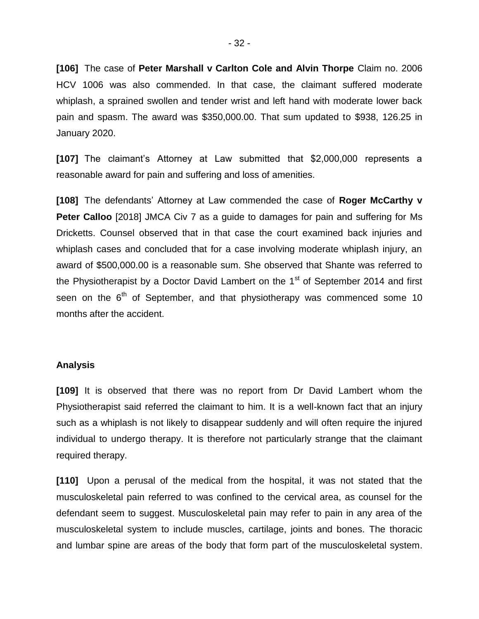**[106]** The case of **Peter Marshall v Carlton Cole and Alvin Thorpe** Claim no. 2006 HCV 1006 was also commended. In that case, the claimant suffered moderate whiplash, a sprained swollen and tender wrist and left hand with moderate lower back pain and spasm. The award was \$350,000.00. That sum updated to \$938, 126.25 in January 2020.

**[107]** The claimant's Attorney at Law submitted that \$2,000,000 represents a reasonable award for pain and suffering and loss of amenities.

**[108]** The defendants' Attorney at Law commended the case of **Roger McCarthy v Peter Calloo** [2018] JMCA Civ 7 as a guide to damages for pain and suffering for Ms Dricketts. Counsel observed that in that case the court examined back injuries and whiplash cases and concluded that for a case involving moderate whiplash injury, an award of \$500,000.00 is a reasonable sum. She observed that Shante was referred to the Physiotherapist by a Doctor David Lambert on the  $1<sup>st</sup>$  of September 2014 and first seen on the  $6<sup>th</sup>$  of September, and that physiotherapy was commenced some 10 months after the accident.

### **Analysis**

**[109]** It is observed that there was no report from Dr David Lambert whom the Physiotherapist said referred the claimant to him. It is a well-known fact that an injury such as a whiplash is not likely to disappear suddenly and will often require the injured individual to undergo therapy. It is therefore not particularly strange that the claimant required therapy.

**[110]** Upon a perusal of the medical from the hospital, it was not stated that the musculoskeletal pain referred to was confined to the cervical area, as counsel for the defendant seem to suggest. Musculoskeletal pain may refer to pain in any area of the musculoskeletal system to include muscles, cartilage, joints and bones. The thoracic and lumbar spine are areas of the body that form part of the musculoskeletal system.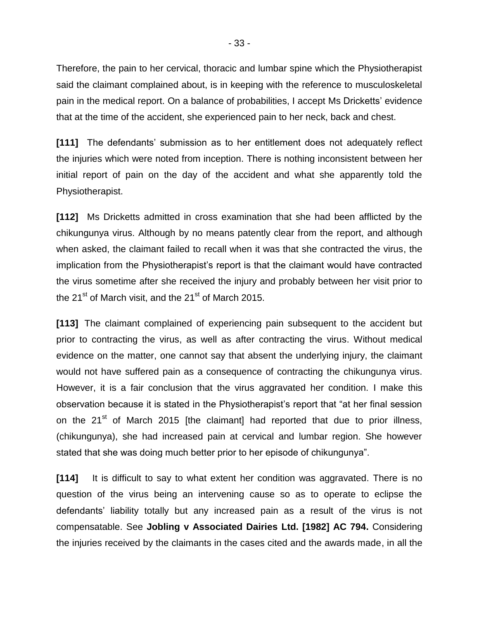Therefore, the pain to her cervical, thoracic and lumbar spine which the Physiotherapist said the claimant complained about, is in keeping with the reference to musculoskeletal pain in the medical report. On a balance of probabilities, I accept Ms Dricketts' evidence that at the time of the accident, she experienced pain to her neck, back and chest.

**[111]** The defendants' submission as to her entitlement does not adequately reflect the injuries which were noted from inception. There is nothing inconsistent between her initial report of pain on the day of the accident and what she apparently told the Physiotherapist.

**[112]** Ms Dricketts admitted in cross examination that she had been afflicted by the chikungunya virus. Although by no means patently clear from the report, and although when asked, the claimant failed to recall when it was that she contracted the virus, the implication from the Physiotherapist's report is that the claimant would have contracted the virus sometime after she received the injury and probably between her visit prior to the 21 $\mathrm{^{st}}$  of March visit, and the 21 $\mathrm{^{st}}$  of March 2015.

**[113]** The claimant complained of experiencing pain subsequent to the accident but prior to contracting the virus, as well as after contracting the virus. Without medical evidence on the matter, one cannot say that absent the underlying injury, the claimant would not have suffered pain as a consequence of contracting the chikungunya virus. However, it is a fair conclusion that the virus aggravated her condition. I make this observation because it is stated in the Physiotherapist's report that "at her final session on the  $21^{st}$  of March 2015 [the claimant] had reported that due to prior illness, (chikungunya), she had increased pain at cervical and lumbar region. She however stated that she was doing much better prior to her episode of chikungunya".

**[114]** It is difficult to say to what extent her condition was aggravated. There is no question of the virus being an intervening cause so as to operate to eclipse the defendants' liability totally but any increased pain as a result of the virus is not compensatable. See **Jobling v Associated Dairies Ltd. [1982] AC 794.** Considering the injuries received by the claimants in the cases cited and the awards made, in all the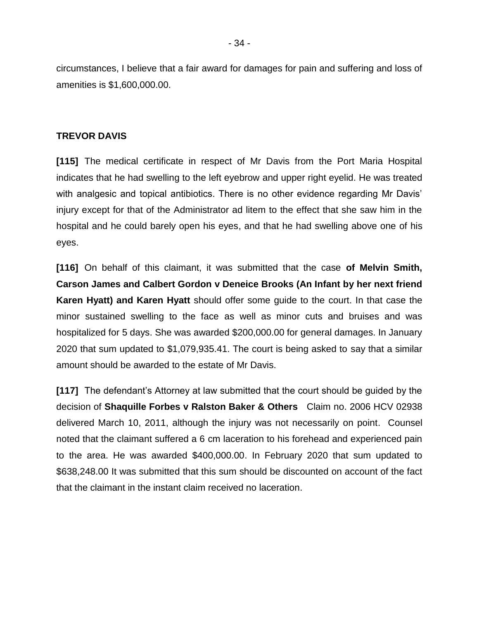circumstances, I believe that a fair award for damages for pain and suffering and loss of amenities is \$1,600,000.00.

## **TREVOR DAVIS**

**[115]** The medical certificate in respect of Mr Davis from the Port Maria Hospital indicates that he had swelling to the left eyebrow and upper right eyelid. He was treated with analgesic and topical antibiotics. There is no other evidence regarding Mr Davis' injury except for that of the Administrator ad litem to the effect that she saw him in the hospital and he could barely open his eyes, and that he had swelling above one of his eyes.

**[116]** On behalf of this claimant, it was submitted that the case **of Melvin Smith, Carson James and Calbert Gordon v Deneice Brooks (An Infant by her next friend Karen Hyatt) and Karen Hyatt** should offer some guide to the court. In that case the minor sustained swelling to the face as well as minor cuts and bruises and was hospitalized for 5 days. She was awarded \$200,000.00 for general damages. In January 2020 that sum updated to \$1,079,935.41. The court is being asked to say that a similar amount should be awarded to the estate of Mr Davis.

**[117]** The defendant's Attorney at law submitted that the court should be guided by the decision of **Shaquille Forbes v Ralston Baker & Others** Claim no. 2006 HCV 02938 delivered March 10, 2011, although the injury was not necessarily on point. Counsel noted that the claimant suffered a 6 cm laceration to his forehead and experienced pain to the area. He was awarded \$400,000.00. In February 2020 that sum updated to \$638,248.00 It was submitted that this sum should be discounted on account of the fact that the claimant in the instant claim received no laceration.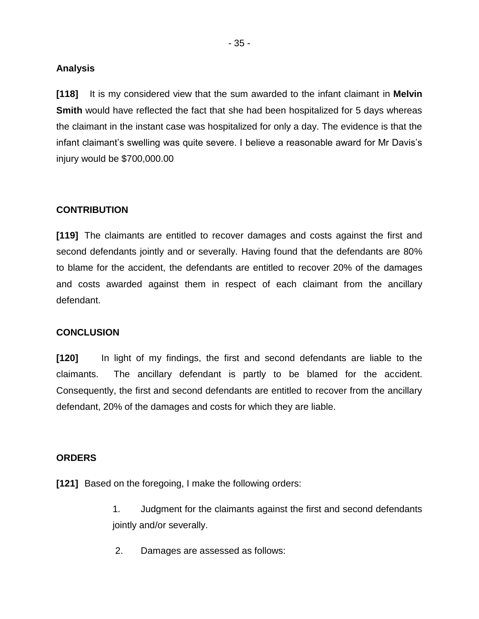### **Analysis**

**[118]** It is my considered view that the sum awarded to the infant claimant in **Melvin Smith** would have reflected the fact that she had been hospitalized for 5 days whereas the claimant in the instant case was hospitalized for only a day. The evidence is that the infant claimant's swelling was quite severe. I believe a reasonable award for Mr Davis's injury would be \$700,000.00

# **CONTRIBUTION**

**[119]** The claimants are entitled to recover damages and costs against the first and second defendants jointly and or severally. Having found that the defendants are 80% to blame for the accident, the defendants are entitled to recover 20% of the damages and costs awarded against them in respect of each claimant from the ancillary defendant.

## **CONCLUSION**

**[120]** In light of my findings, the first and second defendants are liable to the claimants. The ancillary defendant is partly to be blamed for the accident. Consequently, the first and second defendants are entitled to recover from the ancillary defendant, 20% of the damages and costs for which they are liable.

### **ORDERS**

**[121]** Based on the foregoing, I make the following orders:

1. Judgment for the claimants against the first and second defendants jointly and/or severally.

2. Damages are assessed as follows: